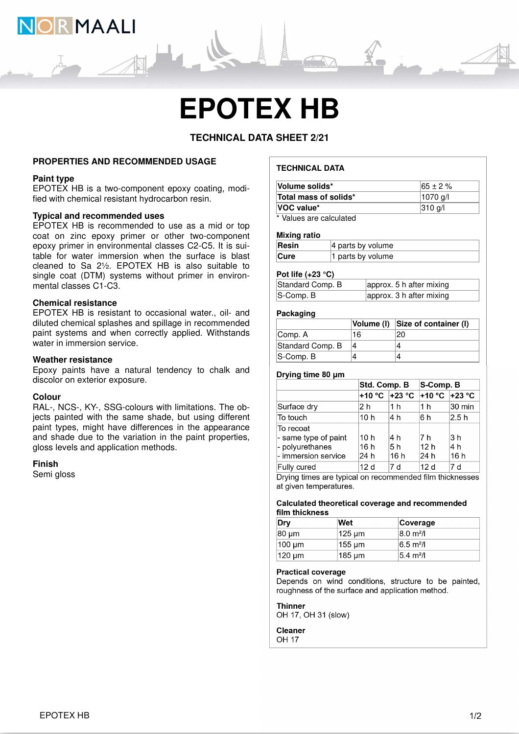

# **EPOTEX HB**

# **TECHNICAL DATA SHEET 2/21**

# **PROPERTIES AND RECOMMENDED USAGE**

# **Paint type**

EPOTEX HB is a two-component epoxy coating, modified with chemical resistant hydrocarbon resin.

# **Typical and recommended uses**

EPOTEX HB is recommended to use as a mid or top coat on zinc epoxy primer or other two-component epoxy primer in environmental classes C2-C5. It is suitable for water immersion when the surface is blast cleaned to Sa 2½. EPOTEX HB is also suitable to single coat (DTM) systems without primer in environmental classes C1-C3.

# **Chemical resistance**

EPOTEX HB is resistant to occasional water., oil- and diluted chemical splashes and spillage in recommended paint systems and when correctly applied. Withstands water in immersion service.

# **Weather resistance**

Epoxy paints have a natural tendency to chalk and discolor on exterior exposure.

# **Colour**

RAL-, NCS-, KY-, SSG-colours with limitations. The objects painted with the same shade, but using different paint types, might have differences in the appearance and shade due to the variation in the paint properties, gloss levels and application methods.

#### **Finish**

Semi gloss

# **TECHNICAL DATA**

| Volume solids*                   | $165 \pm 2 \%$    |
|----------------------------------|-------------------|
| Total mass of solids*            | 1070 a/l          |
| VOC value*                       | $ 310 \text{ q}/$ |
| $*$ <i>Moluga are aglaulated</i> |                   |

Values are calculated

#### **Mixing ratio**

| Resin | $ 4$ parts by volume |
|-------|----------------------|
| Cure  | 1 parts by volume    |

# **Pot life (+23 °C)**

| Standard Comp. B | approx. 5 h after mixing |
|------------------|--------------------------|
| $ S$ -Comp. B    | approx. 3 h after mixing |

#### **Packaging**

|                  |    | Volume (I) Size of container (I) |
|------------------|----|----------------------------------|
| Comp. A          | 16 |                                  |
| Standard Comp. B |    |                                  |
| $S$ -Comp. B     |    |                                  |

#### Drying time 80 um

|                                                                             | Std. Comp. B       |                    | S-Comp. B                      |                    |
|-----------------------------------------------------------------------------|--------------------|--------------------|--------------------------------|--------------------|
|                                                                             |                    |                    | +10 °C +23 °C                  |                    |
| Surface dry                                                                 | 2 h                | 1 h                | 1 <sub>h</sub>                 | 30 min             |
| To touch                                                                    | 10 h               | l4 h               | 6 h                            | 2.5h               |
| To recoat<br>- same type of paint<br>- polyurethanes<br>- immersion service | 10h<br>16h<br>24 h | 4 h<br>5 h<br>16 h | 7 h<br>12 <sub>h</sub><br>24 h | 3 h<br>4 h<br>16 h |
| Fully cured                                                                 | 12 <sub>d</sub>    | 7 d                | 12d                            | 7 d                |

Drying times are typical on recommended film thicknesses at given temperatures.

#### Calculated theoretical coverage and recommended film thickness

| Dry          | Wet    | Coverage                     |
|--------------|--------|------------------------------|
| 80 um        | 125 um | $ 8.0 \text{ m}^2/\text{l} $ |
| $ 100 \mu m$ | 155 um | $6.5 \text{ m}^2$ /l         |
| 120 um       | 185 um | $5.4 \text{ m}^2$ /I         |

#### **Practical coverage**

Depends on wind conditions, structure to be painted, roughness of the surface and application method.

**Thinner** OH 17, OH 31 (slow)

#### **Cleaner OH 17**